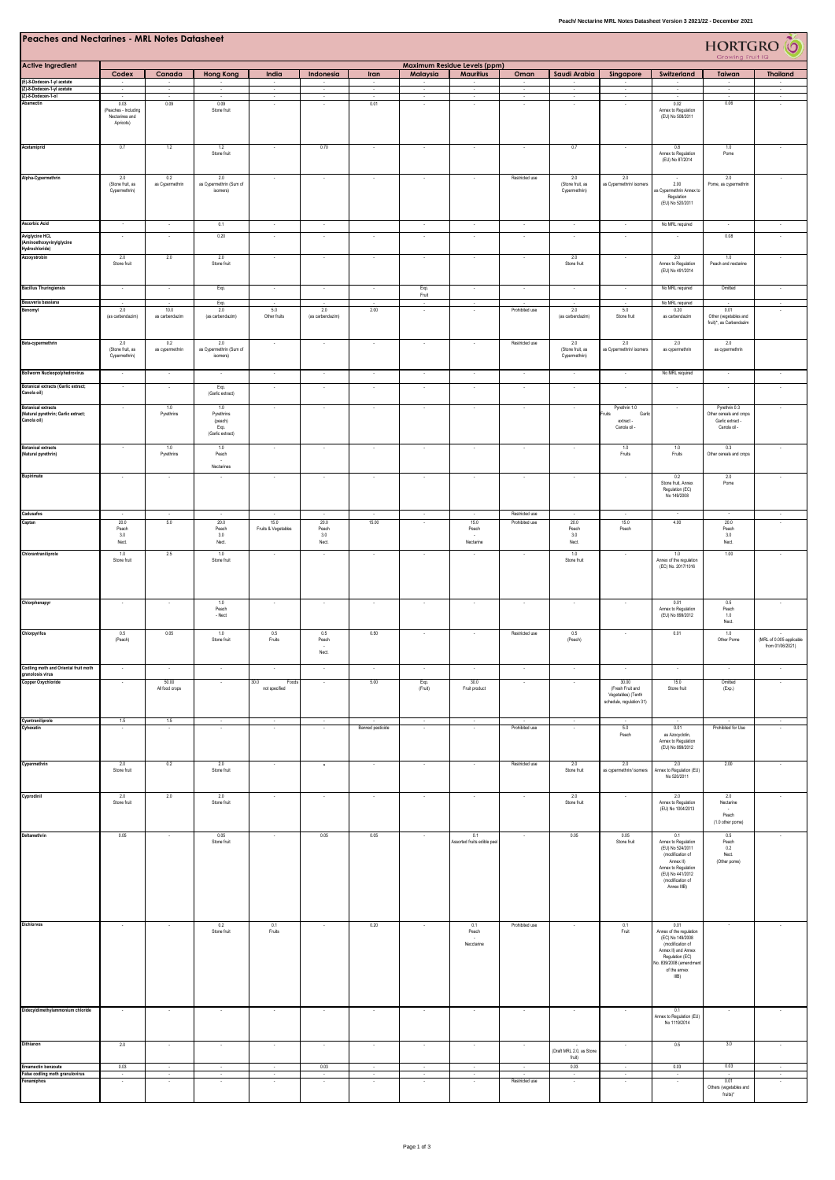| <b>Peaches and Nectarines - MRL Notes Datasheet</b><br>HORTGRO <sup>6</sup><br>Growing Fruit IQ |                                                              |                                          |                                                                |                                 |                                   |                          |                     |                                                  |                |                                                              |                                                                             |                                                                                                                                                                     |                                                                              |                                              |
|-------------------------------------------------------------------------------------------------|--------------------------------------------------------------|------------------------------------------|----------------------------------------------------------------|---------------------------------|-----------------------------------|--------------------------|---------------------|--------------------------------------------------|----------------|--------------------------------------------------------------|-----------------------------------------------------------------------------|---------------------------------------------------------------------------------------------------------------------------------------------------------------------|------------------------------------------------------------------------------|----------------------------------------------|
| <b>Active Ingredient</b>                                                                        | Codex                                                        | Canada                                   | <b>Hong Kong</b>                                               | India                           | Indonesia                         | Iran                     | Malaysia            | Maximum Residue Levels (ppm)<br><b>Mauritius</b> | Oman           | Saudi Arabia                                                 | Singapore                                                                   | Switzerland                                                                                                                                                         | Taiwan                                                                       | <b>Thailand</b>                              |
| (E)-8-Dodecen-1-yl acetate<br>(Z)-8-Dodecen-1-yl acetate                                        |                                                              |                                          |                                                                | $\cdot$                         |                                   | $\cdot$                  | $\sim$              | $\sim$                                           | $\sim$         |                                                              | $\cdot$                                                                     |                                                                                                                                                                     | $\sim$                                                                       |                                              |
| (Z)-8-Dodecen-1-ol<br>Abamectin                                                                 | 0.03<br>(Peaches - Including<br>Nectarines and<br>Apricots)  | $\sim$<br>0.09                           | $\cdot$<br>0.09<br>Stone fruit                                 | $\sim$                          | $\sim$                            | $\cdot$<br>0.01          | $\sim$              | $\sim$                                           | $\sim$         | $\sim$                                                       | $\overline{\phantom{a}}$                                                    | 0.02<br>Annex to Regulation<br>(EU) No 508/2011                                                                                                                     | 0.06                                                                         | $\sim$                                       |
| Acetamiprid                                                                                     | 0.7                                                          | 1.2                                      | 1.2<br>Stone fruit                                             | $\sim$                          | 0.70                              | $\cdot$                  | $\sim$              | $\sim$                                           | $\sim$         | 0.7                                                          | $\overline{\phantom{a}}$                                                    | 0.8<br>Annex to Regulation<br>(EU) No 87/2014                                                                                                                       | 1.0<br>Pome                                                                  | $\sim$                                       |
| Alpha-Cypermethrin                                                                              | 2.0<br>(Stone fruit, as<br>Cypermethrin)                     | 0.2<br>as Cypermethrin                   | 2.0<br>as Cypermethrin (Sum of<br>isomers)                     |                                 | $\sim$                            | $\cdot$                  | $\sim$              |                                                  | Restricted use | 2.0<br>(Stone fruit, as<br>Cypermethrin)                     | 2.0<br>as Cypermethrin/ isomers                                             | 2.00<br>as Cypermethrin Annex to<br>Regulation<br>(EU) No 520/2011                                                                                                  | 2.0<br>Pome, as cypermethrin                                                 | $\sim$                                       |
| <b>Ascorbic Acid</b>                                                                            | $\sim$                                                       | $\sim$                                   | 0.1                                                            | $\cdot$                         | $\cdot$                           |                          | $\sim$              | $\cdot$                                          | $\sim$         | $\cdot$                                                      | $\lambda$                                                                   | No MRL required                                                                                                                                                     | $\overline{\phantom{a}}$                                                     |                                              |
| <b>Aviglycine HCL</b><br>(Aminoethoxyvinylglycine<br>Hydrochloride)                             | $\sim$                                                       | $\sim$                                   | 0.20                                                           | $\sim$                          | $\sim$                            | $\sim$                   | $\sim$              | $\sim$                                           | $\sim$         | $\sim$                                                       | $\lambda$                                                                   |                                                                                                                                                                     | 0.08                                                                         | $\sim$                                       |
| Azoxystrobin                                                                                    | 2.0<br>Stone fruit                                           | 2.0                                      | 2.0<br>Stone fruit                                             |                                 |                                   | ×                        | $\cdot$             |                                                  |                | 2.0<br>Stone fruit                                           | $\cdot$                                                                     | 2.0<br>Annex to Regulation<br>(EU) No 491/2014                                                                                                                      | 1.0<br>Peach and nectarine                                                   |                                              |
| <b>Bacillus Thuringiensis</b>                                                                   | $\sim$                                                       | $\sim$                                   | Exp.                                                           | $\sim$                          | $\sim$                            | $\cdot$                  | Exp.<br>Fruit       | $\sim$                                           | $\sim$         | $\sim$                                                       | $\sim$                                                                      | No MRL required                                                                                                                                                     | Omitted                                                                      | $\sim$                                       |
| Beauveria bassiana<br>Benomyl                                                                   | 2.0                                                          | $\sim$<br>10.0                           | Exp.<br>2.0                                                    | $\overline{\phantom{a}}$<br>5.0 | 2.0                               | 2.00                     | $\sim$              | $\sim$                                           | Prohibited use | 2.0                                                          | $\overline{\phantom{a}}$<br>5.0                                             | No MRL required<br>0.20                                                                                                                                             | 0.01                                                                         | $\sim$                                       |
| Beta-cypermethrin                                                                               | (as carbendazim)<br>2.0<br>(Stone fruit, as<br>Cypermethrin) | as carbendazim<br>0.2<br>as cypermethrin | (as carbendazim)<br>2.0<br>as Cypermethrin (Sum of<br>isomers) | Other fruits<br>$\sim$          | (as carbendazim)<br>$\sim$        | $\cdot$                  | $\sim$              | $\sim$                                           | Restricted use | (as carbendazim)<br>2.0<br>(Stone fruit, as<br>Cypermethrin) | Stone fruit<br>2.0<br>as Cypermethrin/ isomers                              | as carbendazim<br>2.0<br>as cypermethrin                                                                                                                            | Other (vegetables and<br>fruit)*, as Carbendazim<br>2.0<br>as cypermethrin   |                                              |
| <b>Bollworm Nucleopolyhedrovirus</b>                                                            | $\sim$                                                       | $\sim$                                   | $\bullet$                                                      | $\sim$                          | $\sim$                            | $\cdot$                  | $\sim$              | $\sim$                                           | $\sim$         | $\sim$                                                       | ÷.                                                                          | No MRL required                                                                                                                                                     | $\sim$                                                                       | $\sim$                                       |
| <b>Botanical extracts (Garlic extract;</b>                                                      | $\overline{\phantom{a}}$                                     | $\sim$                                   | Exp.                                                           | $\cdot$                         | $\cdot$                           | $\cdot$                  | $\sim$              | $\sim$                                           | $\cdot$        | $\sim$                                                       | $\cdot$                                                                     | $\cdot$                                                                                                                                                             | $\sim$                                                                       | $\cdot$                                      |
| Canola oil)                                                                                     |                                                              |                                          | (Garlic extract)                                               |                                 |                                   |                          |                     |                                                  |                |                                                              |                                                                             |                                                                                                                                                                     |                                                                              |                                              |
| <b>Botanical extracts</b><br>(Natural pyrethrin; Garlic extract;<br>Canola oil)                 |                                                              | 1.0<br>Pyrethrins                        | 1.0<br>Pyrethrins<br>(peach)<br>Exp.<br>(Garlic extract)       | $\cdot$                         | $\sim$                            | $\sim$                   | $\sim$              | $\sim$                                           | $\sim$         | $\sim$                                                       | Pyrethrin 1.0<br>Fruits<br>Garlic<br>extract -<br>Canola oil -              | $\sim$                                                                                                                                                              | Pyrethrin 0.3<br>Other cereals and crops<br>Garlic extract -<br>Canola oil - | $\sim$                                       |
| <b>Botanical extracts</b><br>(Natural pyrethrin)                                                |                                                              | 1.0<br>Pyrethrins                        | 1.0<br>Peach<br>Nectarines                                     | $\cdot$                         | $\cdot$                           | $\cdot$                  | $\sim$              | $\cdot$                                          | $\cdot$        | $\cdot$                                                      | 1.0<br>Fruits                                                               | 1.0<br>Fruits                                                                                                                                                       | 0.3<br>Other cereals and crops                                               | $\cdot$                                      |
| Bupirimate                                                                                      |                                                              | $\cdot$                                  |                                                                | $\sim$                          | $\epsilon$                        | $\cdot$                  |                     | $\sim$                                           | $\cdot$        | $\cdot$                                                      | $\sim$                                                                      | 0.2<br>Stone fruit, Annex<br>Regulation (EC)<br>No 149/2008                                                                                                         | 2.0<br>Pome                                                                  |                                              |
| Cadusafos                                                                                       |                                                              | $\sim$                                   | ÷.                                                             |                                 |                                   | $\overline{\phantom{a}}$ | $\sim$              |                                                  | Restricted use | ÷.                                                           |                                                                             | $\sim$                                                                                                                                                              |                                                                              | $\sim$                                       |
| Captan                                                                                          | 20.0<br>Peach<br>3.0<br>Nect.                                | 5.0                                      | 20.0<br>Peach<br>3.0<br>Nect.                                  | 15.0<br>Fruits & Vegetables     | 20.0<br>Peach<br>$3.0\,$<br>Nect. | 15.00                    | ×                   | 15.0<br>Peach<br>Nectarine                       | Prohibited use | 20.0<br>Peach<br>$3.0\,$<br>Nect.                            | 15.0<br>Peach                                                               | $4.00\,$                                                                                                                                                            | $20.0\,$<br>Peach<br>3.0<br>${\sf Nect}$                                     |                                              |
| Chlorantraniliprole                                                                             | 1.0<br>Stone fruit                                           | 2.5                                      | 1.0<br>Stone fruit                                             |                                 |                                   |                          | ÷.                  |                                                  |                | 1.0<br>Stone fruit                                           |                                                                             | 1.0<br>Annex of the regulation<br>(EC) No. 2017/1016                                                                                                                | 1.00                                                                         |                                              |
| Chlorphenapyr                                                                                   |                                                              |                                          | 1.0<br>Peach<br>$-$ Nect                                       | $\sim$                          | $\sim$                            | $\cdot$                  | $\cdot$             | $\sim$                                           |                | $\cdot$                                                      |                                                                             | 0.01<br>Annex to Regulation<br>(EU) No 899/2012                                                                                                                     | $0.5\,$<br>Peach<br>$1.0\,$<br>Nect.                                         |                                              |
| Chlorpyrifos                                                                                    | 0.5<br>(Peach)                                               | 0.05                                     | 1.0<br>Stone fruit                                             | 0.5<br>Fruits                   | 0.5<br>Peach<br>Nect.             | 0.50                     |                     |                                                  | Restricted use | 0.5<br>(Peach)                                               |                                                                             | 0.01                                                                                                                                                                | 1.0<br>Other Pome                                                            | (MRL of 0.005 applicable<br>from 01/06/2021) |
| Codling moth and Oriental fruit moth                                                            |                                                              |                                          |                                                                |                                 |                                   |                          |                     |                                                  |                |                                                              |                                                                             |                                                                                                                                                                     |                                                                              |                                              |
| granolosis virus<br><b>Copper Oxychloride</b>                                                   |                                                              | 50.00<br>All food crops                  |                                                                | 30.0<br>Foods<br>not specified  |                                   | 5.00                     | Exp.<br>(Fruit)     | 30.0<br>Fruit product                            |                |                                                              | 30.00<br>(Fresh Fruit and<br>Vegetables) (Tenth<br>schedule, regulation 31) | 15.0<br>Stone fruit                                                                                                                                                 | Omitted<br>(Exp.)                                                            |                                              |
| Cyantraniliprole<br>Cyhexatin                                                                   | 1.5<br>$\sim$                                                | 1.5<br>$\sim$                            |                                                                |                                 | $\sim$<br>÷.                      | Banned pesticide         | $\sim$<br>$\sim$    | $\sim$                                           | Prohibited use | $\overline{\phantom{a}}$<br>$\sim$                           | 5.0<br>Peach                                                                | 0.01<br>as Azocyclotin,<br>Annex to Regulation<br>(EU) No 899/2012                                                                                                  | Prohibited for Use                                                           |                                              |
| Cypermethrin                                                                                    | 2.0<br>Stone fruit                                           | 0.2                                      | 2.0<br>Stone fruit                                             |                                 | $\sim$                            |                          |                     |                                                  | Restricted use | 2.0<br>Stone fruit                                           | 2.0<br>as cypermethrin/ isomers                                             | 2.0<br>Annex to Regulation (EU)<br>No 520/2011                                                                                                                      | 2.00                                                                         |                                              |
| Cyprodinil                                                                                      | 2.0<br>Stone fruit                                           | 2.0                                      | 2.0<br>Stone fruit                                             |                                 |                                   |                          |                     |                                                  |                | 2.0<br>Stone fruit                                           |                                                                             | 2.0<br>Annex to Regulation<br>(EU) No 1004/2013                                                                                                                     | 2.0<br>Nectarine<br>Peach<br>(1.0 other pome)                                |                                              |
| Deltamethrin                                                                                    | 0.05                                                         |                                          | 0.05<br>Stone fruit                                            |                                 | 0.05                              | 0.05                     |                     | 0.1<br>Assorted fruits edible pee                |                | 0.05                                                         | 0.05<br>Stone fruit                                                         | 0.1<br>Annex to Regulation<br>(EU) No 524/2011<br>(modification of<br>Annex II)<br>Annex to Regulation<br>(EU) No 441/2012<br>(modification of<br>Annex IIIB)       | 0.5<br>Peach<br>0.2<br>Nect.<br>(Other pome)                                 |                                              |
| Dichlorvos                                                                                      |                                                              |                                          | 0.2<br>Stone fruit                                             | 0.1<br>Fruits                   |                                   | 0.20                     |                     | 0.1<br>Peach<br>Necctarine                       | Prohibited use |                                                              | 0.1<br>Fruit                                                                | 0.01<br>Annex of the regulation<br>(EC) No 149/2008<br>(modification of<br>Annex II) and Annex<br>Regulation (EC)<br>lo. 839/2008 (amendme<br>of the annex<br>IIIB) | ٠                                                                            |                                              |
| Didecyldimethylammonium chloride                                                                |                                                              |                                          |                                                                |                                 |                                   | $\cdot$                  | $\sim$              |                                                  |                |                                                              |                                                                             | 0.1<br>Annex to Regulation (EU)<br>No 1119/2014                                                                                                                     | $\sim$                                                                       |                                              |
| Dithianon                                                                                       | 2.0                                                          |                                          | ×                                                              | $\sim$                          | $\cdot$                           | $\cdot$                  | $\sim$              | $\sim$                                           | .,             | (Draft MRL 2.0, as Stone                                     | $\sim$                                                                      | 0.5                                                                                                                                                                 | 3.0                                                                          |                                              |
| <b>Emamectin benzoate</b>                                                                       | 0.03                                                         |                                          |                                                                |                                 | 0.03                              |                          |                     |                                                  |                | fruit)<br>0.03                                               |                                                                             | 0.03                                                                                                                                                                | 0.03                                                                         |                                              |
| False codling moth granulovirus<br>Fenamiphos                                                   |                                                              |                                          |                                                                |                                 | ÷.                                | $\epsilon$               | $\bar{z}$<br>$\sim$ |                                                  | Restricted use | $\sim$                                                       | $\sim$                                                                      |                                                                                                                                                                     | 0.01                                                                         |                                              |
|                                                                                                 |                                                              |                                          |                                                                |                                 |                                   |                          |                     |                                                  |                |                                                              |                                                                             |                                                                                                                                                                     | Others (vegetables and<br>fruits)*                                           |                                              |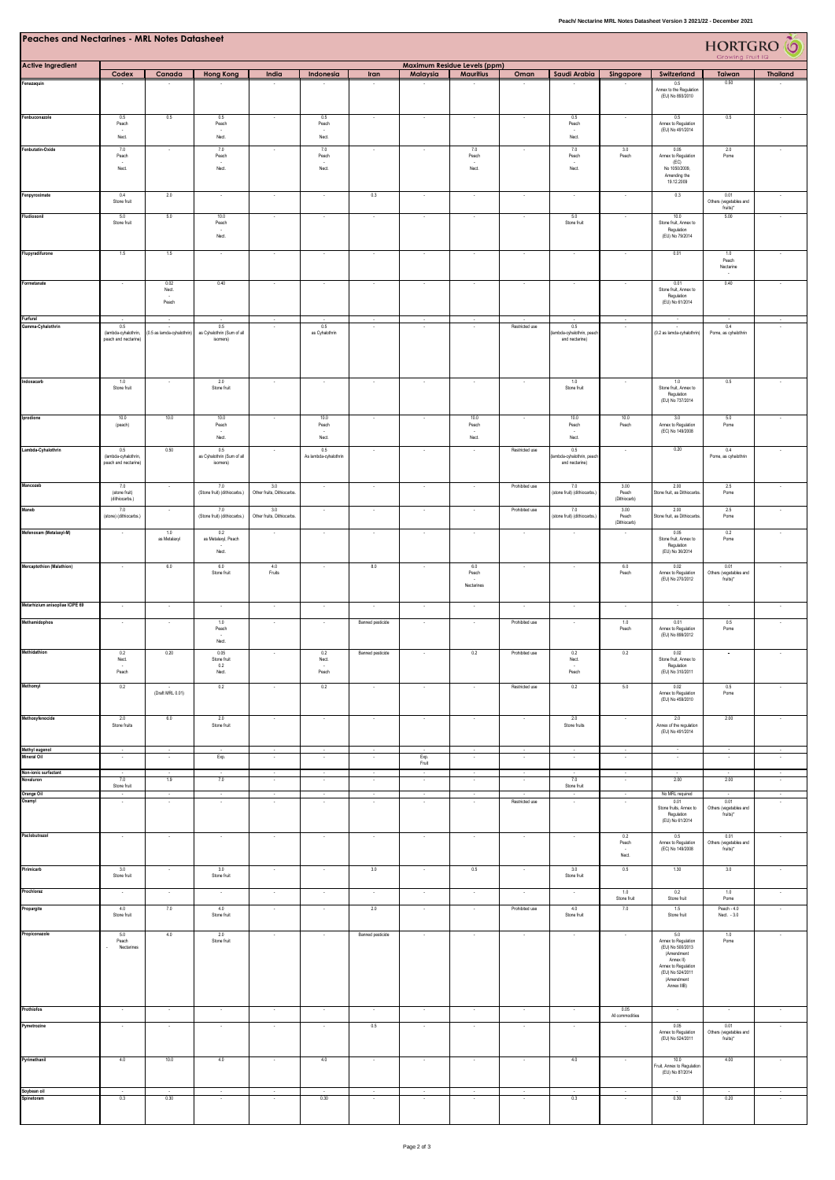| Peaches and Nectarines - MRL Notes Datasheet |  |  |
|----------------------------------------------|--|--|
|                                              |  |  |

| <b>Peaches and Nectarines - MRL Notes Datasheet</b><br><b>HORTGRO</b> O<br>Growing Fruit IQ |                                                    |                           |                                                            |                                                      |                              |                          |                         |                              |                                    |                                                   |                                           |                                                                                                                                                   |                                                    |                          |
|---------------------------------------------------------------------------------------------|----------------------------------------------------|---------------------------|------------------------------------------------------------|------------------------------------------------------|------------------------------|--------------------------|-------------------------|------------------------------|------------------------------------|---------------------------------------------------|-------------------------------------------|---------------------------------------------------------------------------------------------------------------------------------------------------|----------------------------------------------------|--------------------------|
| <b>Active Ingredient</b>                                                                    |                                                    |                           |                                                            |                                                      |                              |                          |                         | Maximum Residue Levels (ppm) |                                    |                                                   |                                           |                                                                                                                                                   |                                                    |                          |
| Fenazaquin                                                                                  | Codex                                              | Canada                    | <b>Hong Kong</b>                                           | India                                                | Indonesia                    | <b>Iran</b>              | Malaysia                | <b>Mauritius</b>             | Oman                               | Saudi Arabia                                      | Singapore                                 | Switzerland<br>0.5<br>Annex to the Regulation<br>(EU) No 893/2010                                                                                 | Taiwan<br>0.50                                     | <b>Thailand</b>          |
| Fenbuconazole                                                                               | 0.5<br>Peach<br>Nect.                              | 0.5                       | 0.5<br>Peach<br>Nect.                                      |                                                      | 0.5<br>Peach<br>Nect.        | $\overline{\phantom{a}}$ |                         |                              |                                    | 0.5<br>Peach<br>Nect.                             |                                           | 0.5<br>Annex to Regulation<br>(EU) No 491/2014                                                                                                    | 0.5                                                |                          |
| Fenbutatin-Oxide                                                                            | 7.0<br>Peach<br>Nect.                              | ٠                         | 7.0<br>Peach<br>Nect.                                      | $\overline{\phantom{a}}$                             | 7.0<br>Peach<br>Nect.        | $\sim$                   |                         | 7.0<br>Peach<br>Nect.        | $\overline{\phantom{a}}$           | 7.0<br>Peach<br>Nect.                             | 3.0<br>Peach                              | 0.05<br>Annex to Regulation<br>(EC)<br>No 1050/2009,<br>Amending the<br>19.12.2009                                                                | 2.0<br>Pome                                        |                          |
| Fenpyroximate<br>Fludioxonil                                                                | 0.4<br>Stone fruit<br>5.0                          | 2.0<br>5.0                | $\cdot$<br>10.0                                            | $\overline{\phantom{a}}$<br>$\overline{\phantom{a}}$ | $\sim$<br>$\sim$             | 0.3<br>$\sim$            | $\cdot$<br>$\sim$       | ٠<br>$\epsilon$              | $\sim$<br>$\cdot$                  | $\cdot$<br>5.0                                    | $\cdot$<br>$\cdot$                        | 0.3<br>10.0                                                                                                                                       | 0.01<br>Others (vegetables and<br>fruits)*<br>5.00 | $\overline{\phantom{a}}$ |
| Flupyradifurone                                                                             | Stone fruit<br>1.5                                 | 1.5                       | Peach<br>Nect.                                             |                                                      |                              |                          |                         |                              |                                    | Stone fruit                                       |                                           | Stone fruit, Annex to<br>Regulation<br>(EU) No 79/2014<br>0.01                                                                                    | 1.0                                                |                          |
| Formetanate                                                                                 | $\overline{\phantom{a}}$                           | 0.02<br>Nect.             | 0.40                                                       |                                                      | $\overline{\phantom{a}}$     | $\cdot$                  | $\cdot$                 | $\overline{\phantom{a}}$     | $\cdot$                            | $\cdot$                                           | $\cdot$                                   | 0.01<br>Stone fruit, Annex to                                                                                                                     | Peach<br>Nectarine<br>0.40                         |                          |
| Furfural                                                                                    |                                                    | Peach                     |                                                            |                                                      |                              |                          |                         |                              |                                    |                                                   |                                           | Regulation<br>(EU) No 61/2014                                                                                                                     |                                                    |                          |
| Gamma-Cyhalothrin                                                                           | 0.5<br>(lambda-cyhalothrin<br>peach and nectarine) | (0.5 as lamda-cyhalothrin | 0.5<br>as Cyhalothrin (Sum of all<br>isomers)              | ÷.                                                   | 0.5<br>as Cyhalothrin        | $\sim$                   | $\sim$                  | $\sim$                       | Restricted use                     | 0.5<br>mbda-cyhalothrin, peach<br>and nectarine)  | $\sim$                                    | (0.2 as lamda-cyhalothrin)                                                                                                                        | 0.4<br>Pome, as cyhalothrin                        |                          |
| Indoxacarb                                                                                  | 1.0<br>Stone fruit                                 |                           | 2.0<br>Stone fruit                                         |                                                      |                              | $\sim$                   |                         |                              |                                    | 1.0<br>Stone fruit                                |                                           | 1.0<br>Stone fruit, Annex to<br>Regulation<br>(EU) No 737/2014                                                                                    | 0.5                                                |                          |
| Iprodione                                                                                   | 10.0<br>(peach)                                    | 10.0                      | 10.0<br>Peach<br>Nect.                                     |                                                      | 10.0<br>Peach<br>Nect.       | $\overline{\phantom{a}}$ |                         | 10.0<br>Peach<br>Nect.       | $\cdot$                            | 10.0<br>Peach<br>Nect.                            | 10.0<br>Peach                             | 3.0<br>Annex to Regulation<br>(EC) No 149/2008                                                                                                    | 5.0<br>Pome                                        |                          |
| Lambda-Cyhalothrin                                                                          | 0.5<br>(lambda-cyhalothrin<br>peach and nectarine) | 0.50                      | 0.5<br>as Cyhalothrin (Sum of all<br>isomers)              |                                                      | 0.5<br>As lambda-cyhalothrin |                          |                         |                              | Restricted use                     | 0.5<br>ambda-cyhalothrin, peacl<br>and nectarine) | $\sim$                                    | 0.20                                                                                                                                              | 0.4<br>Pome, as cyhalothrin                        |                          |
| Mancozeb<br>Maneb                                                                           | 7.0<br>(stone fruit)<br>(dithiocarbs.)<br>7.0      | $\cdot$                   | 7.0<br>(Stone fruit) (dithiocarbs.)<br>7.0                 | 3.0<br>Other fruits, Dithiocarbs.<br>3.0             | $\sim$                       | $\cdot$                  | $\cdot$                 | $\overline{\phantom{a}}$     | Prohibited use<br>Prohibited use   | 7.0<br>stone fruit) (dithiocarbs.)<br>$7.0\,$     | 3.00<br>Peach<br>(Dithiocarb)<br>$3.00\,$ | 2.00<br>Stone fruit, as Dithiocarbs<br>$2.00\,$                                                                                                   | 2.5<br>Pome<br>2.5                                 |                          |
| Mefenoxam (Metalaxyl-M)                                                                     | (stone) (dithiocarbs.)<br>$\cdot$                  | 1.0<br>as Metalaxyl       | (Stone fruit) (dithiocarbs.)<br>0.2<br>as Metalaxyl, Peach | Other fruits, Dithiocarbs.                           | $\sim$                       | $\sim$                   | $\sim$                  | $\sim$                       | $\sim$                             | stone fruit) (dithiocarbs.)<br>$\sim$             | Peach<br>(Diffriocarb)                    | Stone fruit, as Dithiocarbs<br>0.05<br>Stone fruit, Annex to<br>Regulation                                                                        | Pome<br>0.2<br>Pome                                |                          |
| <b>Mercaptothion (Malathion)</b>                                                            | $\sim$                                             | 6.0                       | Nect.<br>6.0<br>Stone fruit                                | 4.0<br>Fruits                                        | $\sim$                       | 8.0                      |                         | 6.0<br>Peach<br>Nectarines   | $\sim$                             |                                                   | 6.0<br>Peach                              | (EU) No 36/2014<br>0.02<br>Annex to Regulation<br>(EU) No 270/2012                                                                                | 0.01<br>Others (vegetables and<br>fruits)*         |                          |
| Metarhizium anisopliae ICIPE 69                                                             | $\cdot$                                            |                           |                                                            |                                                      |                              |                          | ×                       | $\sim$                       |                                    |                                                   | $\sim$                                    |                                                                                                                                                   |                                                    |                          |
| Methamidophos                                                                               | $\overline{\phantom{a}}$                           |                           | 1.0<br>Peach<br>Nect.                                      |                                                      | $\sim$                       | Banned pesticide         |                         |                              | Prohibited use                     | $\overline{\phantom{a}}$                          | 1.0<br>Peach                              | 0.01<br>Annex to Regulation<br>(EU) No 899/2012                                                                                                   | 0.5<br>Pome                                        |                          |
| Methidathion                                                                                | 0.2<br>Nect.<br>Peach                              | 0.20                      | 0.05<br>Stone fruit<br>0.2<br>Nect.                        |                                                      | 0.2<br>Nect.<br>Peach        | Banned pesticide         |                         | 0.2                          | Prohibited use                     | 0.2<br>Nect.<br>Peach                             | 0.2                                       | 0.02<br>Stone fruit, Annex to<br>(EU) No 310/2011                                                                                                 |                                                    |                          |
| Methomyl                                                                                    | 0.2                                                | (Draft MRL 0.01)          | 0.2                                                        |                                                      | $0.2\,$                      |                          |                         |                              | Restricted use                     | $0.2\,$                                           | $5.0\,$                                   | 0.02<br>Annex to Regulation<br>(EU) No 459/2010                                                                                                   | 0.5<br>Pome                                        |                          |
| Methoxyfenocide                                                                             | 2.0<br>Stone fruits                                | 6.0                       | 2.0<br>Stone fruit                                         | $\cdot$                                              | $\cdot$                      | $\cdot$                  | $\cdot$                 | $\cdot$                      | $\cdot$                            | 2.0<br>Stone fruits                               | $\sim$                                    | 2.0<br>Annex of the regulation<br>(EU) No 491/2014                                                                                                | 2.00                                               | $\sim$                   |
| Methyl eugenol<br>Mineral Oil                                                               |                                                    |                           | Exp.                                                       |                                                      |                              |                          | Exp.<br>Fruit           |                              |                                    |                                                   |                                           |                                                                                                                                                   |                                                    |                          |
| Non-ionic surfactant<br>Novaluron                                                           | 7.0<br>Stone fruit                                 | 1.9                       | 7.0                                                        | $\overline{\phantom{a}}$                             | $\sim$                       | $\cdot$                  | $\cdot$                 | $\overline{\phantom{a}}$     | $\sim$                             | 7.0<br>Stone fruit                                | $\cdot$                                   | 2.00                                                                                                                                              | $2.00\,$                                           |                          |
| Orange Oil<br>Oxamyl                                                                        | $\sim$                                             | $\sim$                    | $\sim$                                                     | $\sim$                                               | $\sim$                       | $\sim$                   | $\mathcal{L}$<br>$\sim$ | $\sim$                       | Restricted use                     | $\sim$                                            | $\cdot$                                   | No MRL required<br>0.01<br>Stone fruits, Annex to<br>Regulation<br>(EU) No 61/2014                                                                | 0.01<br>Others (vegetables and<br>fruits)*         | $\overline{\phantom{a}}$ |
| Paclobutrazol                                                                               | $\cdot$                                            | $\sim$                    | $\cdot$                                                    | $\cdot$                                              | $\cdot$                      | $\cdot$                  | $\sim$                  | $\cdot$                      | $\cdot$                            | $\cdot$                                           | 0.2<br>Peach<br>Nect.                     | 0.5<br>Annex to Regulation<br>(EC) No 149/2008                                                                                                    | 0.01<br>Others (vegetables and<br>fruits)*         |                          |
| Pirimicarb<br>Prochloraz                                                                    | 3.0<br>Stone fruit<br>÷.                           | $\sim$<br>$\sim$          | 3.0<br>Stone fruit<br>$\sim$                               | $\sim$<br>$\sim$                                     | $\sim$<br>$\sim$             | 3.0<br>$\sim$            | $\sim$<br>$\sim$        | 0.5<br>$\sim$                | $\sim$<br>$\sim$                   | 3.0<br>Stone fruit<br>$\sim$                      | 0.5<br>1.0                                | 1.30<br>0.2                                                                                                                                       | 3.0<br>1.0                                         | $\sim$                   |
| Propargite                                                                                  | 4.0<br>Stone fruit                                 | 7.0                       | 4.0<br>Stone fruit                                         | $\sim$                                               | $\sim$                       | 2.0                      | $\sim$                  | $\sim$                       | Prohibited use                     | 4.0<br>Stone fruit                                | Stone fruit<br>7.0                        | Stone fruit<br>1.5<br>Stone fruit                                                                                                                 | Pome<br>Peach - 4.0<br>Nect. - 3.0                 | $\sim$                   |
| Propiconazole                                                                               | 5.0<br>Peach<br>Nectarines                         | 4.0                       | 2.0<br>Stone fruit                                         | ×                                                    | $\sim$                       | Banned pesticide         | $\sim$                  |                              | $\overline{\phantom{a}}$           | $\overline{\phantom{a}}$                          |                                           | 5.0<br>Annex to Regulation<br>(EU) No 500/2013<br>(Amendment<br>Annex II)<br>Annex to Regulation<br>(EU) No 524/2011<br>(Amendment<br>Annex IIIB) | 1.0<br>Pome                                        |                          |
| Prothiofos<br>Pymetrozine                                                                   | $\sim$<br>$\sim$                                   | $\sim$                    |                                                            | $\sim$                                               | $\sim$                       | $\sim$<br>0.5            | $\sim$<br>$\cdot$       | $\epsilon$                   | $\sim$<br>$\overline{\phantom{a}}$ | $\sim$<br>$\overline{\phantom{a}}$                | 0.05<br>All commodities                   | $\sim$<br>0.05<br>Annex to Regulation                                                                                                             | 0.01<br>Others (vegetables and                     |                          |
| Pyrimethanil                                                                                | 4.0                                                | 10.0                      | 4.0                                                        | $\sim$                                               | 4.0                          | $\sim$                   | $\sim$                  | $\sim$                       | $\sim$                             | 4.0                                               | $\sim$                                    | (EU) No 524/2011<br>10.0                                                                                                                          | fruits)*<br>4.00                                   |                          |
| Soybean oil                                                                                 |                                                    |                           |                                                            |                                                      |                              |                          |                         |                              |                                    |                                                   |                                           | Fruit, Annex to Regulation<br>(EU) No 87/2014                                                                                                     |                                                    |                          |
| Spinetoram                                                                                  | 0.3                                                | 0.30                      |                                                            |                                                      | 0.30                         |                          |                         |                              |                                    | $0.3\,$                                           |                                           | 0.30                                                                                                                                              | 0.20                                               |                          |